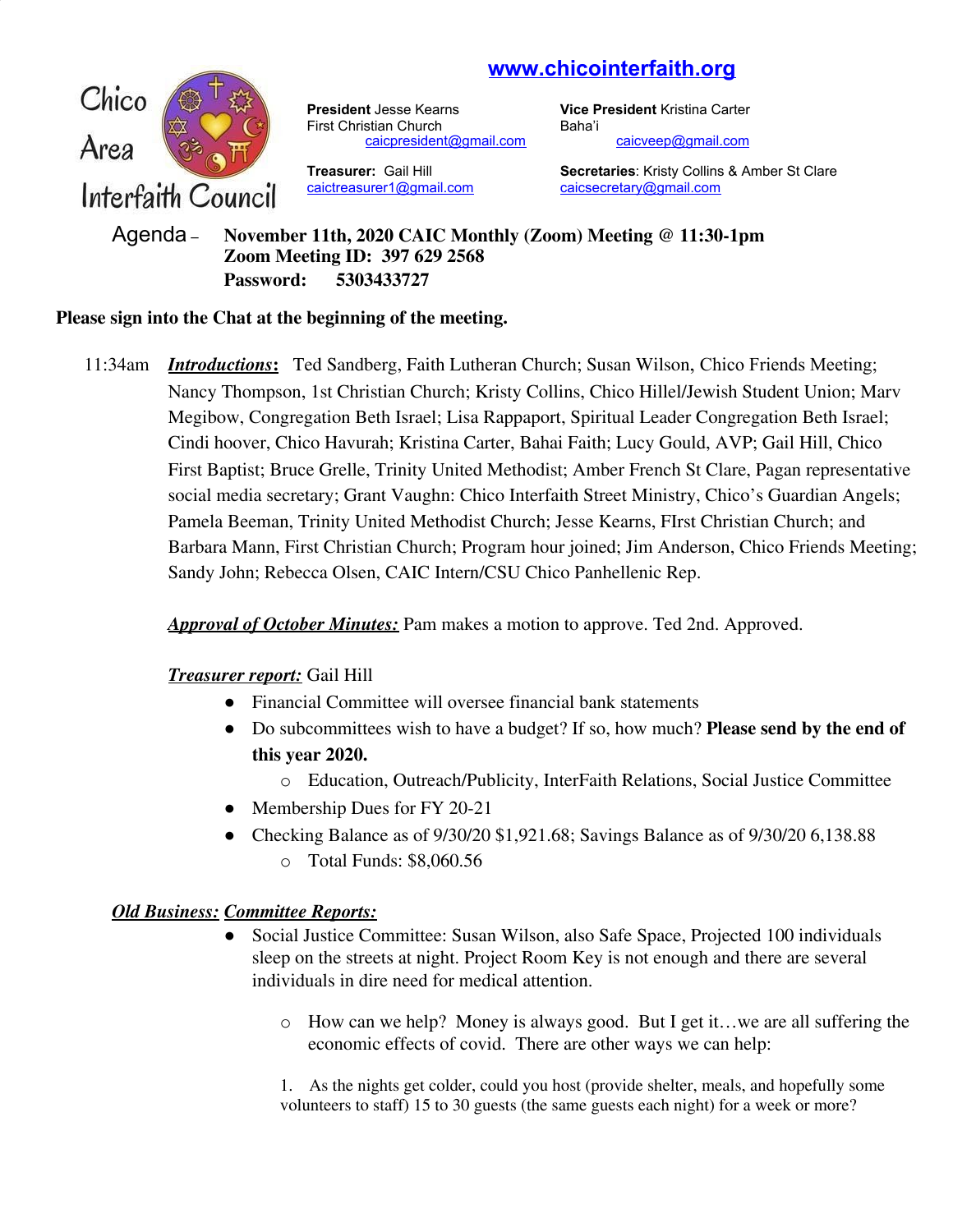# **www.chicointerfaith.org**



**President Jesse Kearns <b>Vice President** Kristina Carter First Christian Church Baha'i [caicpresident@gmail.com](mailto:caicpresident@gmail.com) [caicveep@gmail.com](mailto:caicveep@gmail.com)

[caictreasurer1@gmail.com](mailto:caictreasurer1@gmail.com)

**Treasurer:** Gail Hill **Secretaries**: Kristy Collins & Amber St Clare caictreasurer1@gmail.com caicsecretary@gmail.com

Agenda – **November 11th, 2020 CAIC Monthly (Zoom) Meeting @ 11:30-1pm Zoom Meeting ID: 397 629 2568 Password: 5303433727**

## **Please sign into the Chat at the beginning of the meeting.**

11:34am *Introductions***:** Ted Sandberg, Faith Lutheran Church; Susan Wilson, Chico Friends Meeting; Nancy Thompson, 1st Christian Church; Kristy Collins, Chico Hillel/Jewish Student Union; Marv Megibow, Congregation Beth Israel; Lisa Rappaport, Spiritual Leader Congregation Beth Israel; Cindi hoover, Chico Havurah; Kristina Carter, Bahai Faith; Lucy Gould, AVP; Gail Hill, Chico First Baptist; Bruce Grelle, Trinity United Methodist; Amber French St Clare, Pagan representative social media secretary; Grant Vaughn: Chico Interfaith Street Ministry, Chico's Guardian Angels; Pamela Beeman, Trinity United Methodist Church; Jesse Kearns, FIrst Christian Church; and Barbara Mann, First Christian Church; Program hour joined; Jim Anderson, Chico Friends Meeting; Sandy John; Rebecca Olsen, CAIC Intern/CSU Chico Panhellenic Rep.

*Approval of October Minutes:* Pam makes a motion to approve. Ted 2nd. Approved.

## *Treasurer report:* Gail Hill

- Financial Committee will oversee financial bank statements
- Do subcommittees wish to have a budget? If so, how much? **Please send by the end of this year 2020.**
	- o Education, Outreach/Publicity, InterFaith Relations, Social Justice Committee
- Membership Dues for FY 20-21
- Checking Balance as of  $9/30/20$  \$1,921.68; Savings Balance as of  $9/30/20$  6,138.88 o Total Funds: \$8,060.56

## *Old Business: Committee Reports:*

- Social Justice Committee: Susan Wilson, also Safe Space, Projected 100 individuals sleep on the streets at night. Project Room Key is not enough and there are several individuals in dire need for medical attention.
	- o How can we help? Money is always good. But I get it…we are all suffering the economic effects of covid. There are other ways we can help:

1. As the nights get colder, could you host (provide shelter, meals, and hopefully some volunteers to staff) 15 to 30 guests (the same guests each night) for a week or more?